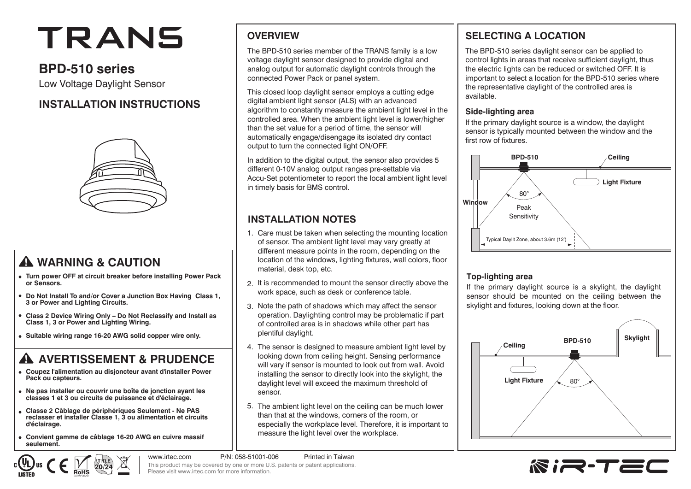# TRANS

# **BPD-510 series**

Low Voltage Daylight Sensor

# **INSTALLATION INSTRUCTIONS**



# **WARNING & CAUTION**

- **Turn power OFF at circuit breaker before installing Power Pack or Sensors.**
- **Do Not Install To and/or Cover a Junction Box Having Class 1, 3 or Power and Lighting Circuits.**
- **Class 2 Device Wiring Only Do Not Reclassify and Install as Class 1, 3 or Power and Lighting Wiring.**
- **Suitable wiring range 16-20 AWG solid copper wire only.**

# **A AVERTISSEMENT & PRUDENCE**

- **Coupez l'alimentation au disjoncteur avant d'installer Power Pack ou capteurs.**
- **Ne pas installer ou couvrir une boîte de jonction ayant les classes 1 et 3 ou circuits de puissance et d'éclairage.**
- **Classe 2 Câblage de périphériques Seulement Ne PAS reclasser et installer Classe 1, 3 ou alimentation et circuits d'éclairage.**
- **Convient gamme de câblage 16-20 AWG en cuivre massif seulement.**

### **OVERVIEW**

The BPD-510 series member of the TRANS family is a low voltage daylight sensor designed to provide digital and analog output for automatic daylight controls through the connected Power Pack or panel system.

This closed loop daylight sensor employs a cutting edge digital ambient light sensor (ALS) with an advanced algorithm to constantly measure the ambient light level in the controlled area. When the ambient light level is lower/higher than the set value for a period of time, the sensor will automatically engage/disengage its isolated dry contact output to turn the connected light ON/OFF.

In addition to the digital output, the sensor also provides 5 different 0-10V analog output ranges pre-settable via Accu-Set potentiometer to report the local ambient light level in timely basis for BMS control.

# **INSTALLATION NOTES**

- Care must be taken when selecting the mounting location 1. of sensor. The ambient light level may vary greatly at different measure points in the room, depending on the location of the windows, lighting fixtures, wall colors, floor material, desk top, etc.
- 2. It is recommended to mount the sensor directly above the work space, such as desk or conference table.
- 3. Note the path of shadows which may affect the sensor operation. Daylighting control may be problematic if part of controlled area is in shadows while other part has plentiful daylight.
- The sensor is designed to measure ambient light level by 4. looking down from ceiling height. Sensing performance will vary if sensor is mounted to look out from wall. Avoid installing the sensor to directly look into the skylight, the daylight level will exceed the maximum threshold of sensor.
- 5. The ambient light level on the ceiling can be much lower than that at the windows, corners of the room, or especially the workplace level. Therefore, it is important to measure the light level over the workplace.

# **SELECTING A LOCATION**

The BPD-510 series daylight sensor can be applied to control lights in areas that receive sufficient daylight, thus the electric lights can be reduced or switched OFF. It is important to select a location for the BPD-510 series where the representative daylight of the controlled area is available.

#### **Side-lighting area**

If the primary daylight source is a window, the daylight sensor is typically mounted between the window and the first row of fixtures.



#### **Top-lighting area**

If the primary daylight source is a skylight, the daylight sensor should be mounted on the ceiling between the skylight and fixtures, looking down at the floor.





www.irtec.com P/N: 058-51001-006 Printed in Taiwan This product may be covered by one or more U.S. patents or patent applications. Please visit www.irtec.com for more information.